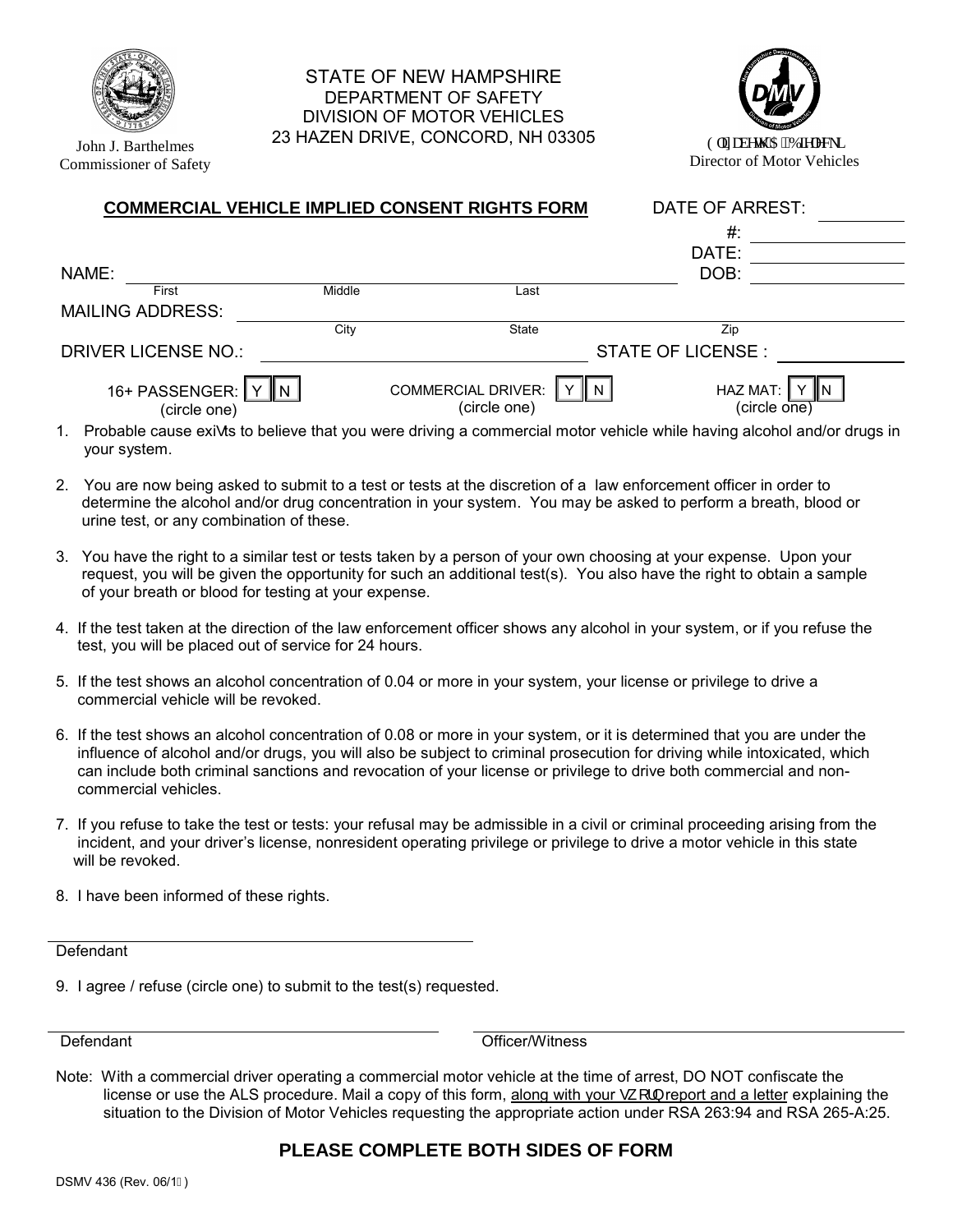

John J. Barthelmes Commissioner of Safety

## STATE OF NEW HAMPSHIRE DEPARTMENT OF SAFETY DIVISION OF MOTOR VEHICLES 23 HAZEN DRIVE, CONCORD, NH 03305 Grk cdgy 'CODkgrgenk



Director of Motor Vehicles

| <b>COMMERCIAL VEHICLE IMPLIED CONSENT RIGHTS FORM</b> |        |                                                   | DATE OF ARREST:                         |  |
|-------------------------------------------------------|--------|---------------------------------------------------|-----------------------------------------|--|
|                                                       |        |                                                   | #:                                      |  |
|                                                       |        |                                                   | DATE:                                   |  |
| NAME:                                                 |        |                                                   | DOB:                                    |  |
| First                                                 | Middle | Last                                              |                                         |  |
| <b>MAILING ADDRESS:</b>                               |        |                                                   |                                         |  |
|                                                       | City   | State                                             | Zip                                     |  |
| <b>DRIVER LICENSE NO.:</b>                            |        | <b>STATE OF LICENSE:</b>                          |                                         |  |
| 16+ PASSENGER:<br>(circle one)                        |        | <b>COMMERCIAL DRIVER:</b><br>II N<br>(circle one) | HAZ MAT:  <br>$(circle \overline{one})$ |  |

- 1. Probable cause exi•ts to believe that you were driving a commercial motor vehicle while having alcohol and/or drugs in your system.
- 2. You are now being asked to submit to a test or tests at the discretion of a law enforcement officer in order to determine the alcohol and/or drug concentration in your system. You may be asked to perform a breath, blood or urine test, or any combination of these.
- 3. You have the right to a similar test or tests taken by a person of your own choosing at your expense. Upon your request, you will be given the opportunity for such an additional test(s). You also have the right to obtain a sample of your breath or blood for testing at your expense.
- 4. If the test taken at the direction of the law enforcement officer shows any alcohol in your system, or if you refuse the test, you will be placed out of service for 24 hours.
- 5. If the test shows an alcohol concentration of 0.04 or more in your system, your license or privilege to drive a commercial vehicle will be revoked.
- 6. If the test shows an alcohol concentration of 0.08 or more in your system, or it is determined that you are under the influence of alcohol and/or drugs, you will also be subject to criminal prosecution for driving while intoxicated, which can include both criminal sanctions and revocation of your license or privilege to drive both commercial and non commercial vehicles.
- 7. If you refuse to take the test or tests: your refusal may be admissible in a civil or criminal proceeding arising from the incident, and your driver's license, nonresident operating privilege or privilege to drive a motor vehicle in this state will be revoked.
- 8. I have been informed of these rights.

**Defendant** 

9. I agree / refuse (circle one) to submit to the test(s) requested.

Defendant Officer/Witness

Note: With a commercial driver operating a commercial motor vehicle at the time of arrest, DO NOT confiscate the license or use the ALS procedure. Mail a copy of this form, along with your • [1] report and a letter explaining the situation to the Division of Motor Vehicles requesting the appropriate action under RSA 263:94 and RSA 265-A:25.

## **PLEASE COMPLETE BOTH SIDES OF FORM**